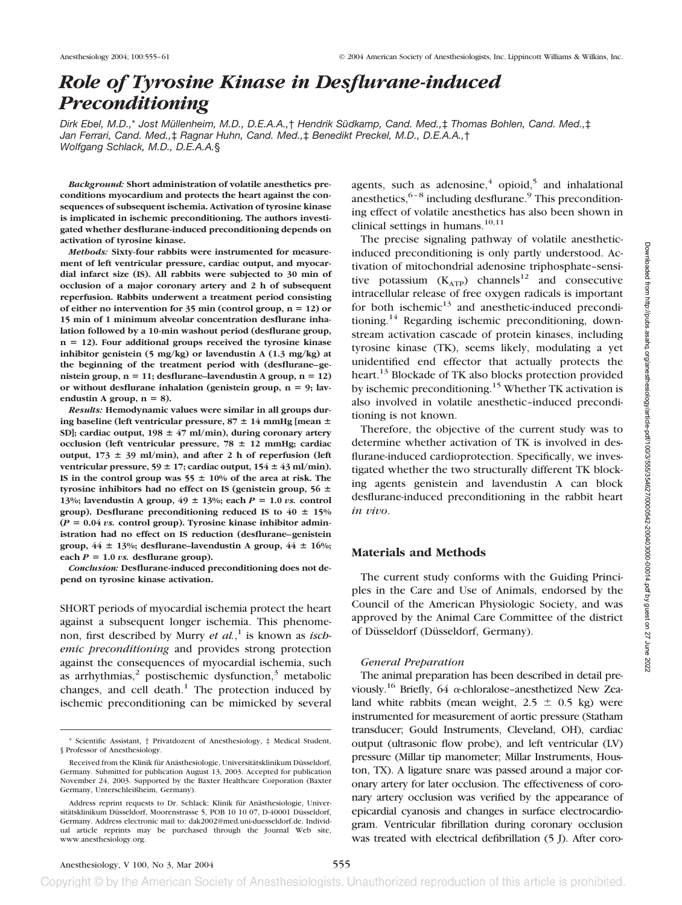# *Role of Tyrosine Kinase in Desflurane-induced Preconditioning*

*Dirk Ebel, M.D.,*\* *Jost Müllenheim, M.D., D.E.A.A.,*† *Hendrik Südkamp, Cand. Med.,*‡ *Thomas Bohlen, Cand. Med.,*‡ *Jan Ferrari, Cand. Med.,*‡ *Ragnar Huhn, Cand. Med.,*‡ *Benedikt Preckel, M.D., D.E.A.A.,*† *Wolfgang Schlack, M.D., D.E.A.A.*§

*Background:* **Short administration of volatile anesthetics preconditions myocardium and protects the heart against the consequences of subsequent ischemia. Activation of tyrosine kinase is implicated in ischemic preconditioning. The authors investigated whether desflurane-induced preconditioning depends on activation of tyrosine kinase.**

*Methods:* **Sixty-four rabbits were instrumented for measurement of left ventricular pressure, cardiac output, and myocardial infarct size (IS). All rabbits were subjected to 30 min of occlusion of a major coronary artery and 2 h of subsequent reperfusion. Rabbits underwent a treatment period consisting** of either no intervention for  $35$  min (control group,  $n = 12$ ) or **15 min of 1 minimum alveolar concentration desflurane inhalation followed by a 10-min washout period (desflurane group, n 12). Four additional groups received the tyrosine kinase inhibitor genistein (5 mg/kg) or lavendustin A (1.3 mg/kg) at the beginning of the treatment period with (desflurane–ge**nistein group,  $n = 11$ ; desflurane–lavendustin A group,  $n = 12$ ) or without desflurane inhalation (genistein group,  $n = 9$ ; lavendustin A group,  $n = 8$ ).

*Results:* **Hemodynamic values were similar in all groups during baseline (left ventricular pressure, 87**  $\pm$  **14 mmHg [mean**  $\pm$ **SD]; cardiac output, 198** - **47 ml/min), during coronary artery occlusion** (left ventricular pressure, 78  $\pm$  12 mmHg; cardiac output,  $173 \pm 39$  ml/min), and after 2 h of reperfusion (left **ventricular pressure, 59** - **17; cardiac output, 154** - **43 ml/min).** IS in the control group was  $55 \pm 10\%$  of the area at risk. The **tyrosine inhibitors had no effect on IS (genistein group, 56** - **13%; lavendustin A group,**  $49 \pm 13$ **%; each**  $P = 1.0$ *vs.* **control** group). Desflurane preconditioning reduced IS to  $40 \pm 15\%$  $(P = 0.04$  *vs.* control group). Tyrosine kinase inhibitor admin**istration had no effect on IS reduction (desflurane–genistein group, 44** - **13%; desflurane–lavendustin A group, 44** - **16%;** each  $P = 1.0$  *vs.* desflurane group).

*Conclusion:* **Desflurane-induced preconditioning does not depend on tyrosine kinase activation.**

SHORT periods of myocardial ischemia protect the heart against a subsequent longer ischemia. This phenomenon, first described by Murry *et al.*, <sup>1</sup> is known as *ischemic preconditioning* and provides strong protection against the consequences of myocardial ischemia, such as arrhythmias, $2$  postischemic dysfunction, $3$  metabolic changes, and cell death. $1$  The protection induced by ischemic preconditioning can be mimicked by several

agents, such as adenosine, $4$  opioid, $5$  and inhalational anesthetics,  $6-8$  including desflurane.<sup>9</sup> This preconditioning effect of volatile anesthetics has also been shown in clinical settings in humans.<sup>10,11</sup>

The precise signaling pathway of volatile anestheticinduced preconditioning is only partly understood. Activation of mitochondrial adenosine triphosphate–sensitive potassium  $(K<sub>ATP</sub>)$  channels<sup>12</sup> and consecutive intracellular release of free oxygen radicals is important for both ischemic $13$  and anesthetic-induced preconditioning.<sup>14</sup> Regarding ischemic preconditioning, downstream activation cascade of protein kinases, including tyrosine kinase (TK), seems likely, modulating a yet unidentified end effector that actually protects the heart.<sup>13</sup> Blockade of TK also blocks protection provided by ischemic preconditioning.<sup>15</sup> Whether TK activation is also involved in volatile anesthetic–induced preconditioning is not known.

Therefore, the objective of the current study was to determine whether activation of TK is involved in desflurane-induced cardioprotection. Specifically, we investigated whether the two structurally different TK blocking agents genistein and lavendustin A can block desflurane-induced preconditioning in the rabbit heart *in vivo*.

#### **Materials and Methods**

The current study conforms with the Guiding Principles in the Care and Use of Animals, endorsed by the Council of the American Physiologic Society, and was approved by the Animal Care Committee of the district of Düsseldorf (Düsseldorf, Germany).

## *General Preparation*

The animal preparation has been described in detail previously.<sup>16</sup> Briefly, 64  $\alpha$ -chloralose-anesthetized New Zealand white rabbits (mean weight,  $2.5 \pm 0.5$  kg) were instrumented for measurement of aortic pressure (Statham transducer; Gould Instruments, Cleveland, OH), cardiac output (ultrasonic flow probe), and left ventricular (LV) pressure (Millar tip manometer; Millar Instruments, Houston, TX). A ligature snare was passed around a major coronary artery for later occlusion. The effectiveness of coronary artery occlusion was verified by the appearance of epicardial cyanosis and changes in surface electrocardiogram. Ventricular fibrillation during coronary occlusion was treated with electrical defibrillation (5 J). After coro-

<sup>\*</sup> Scientific Assistant, † Privatdozent of Anesthesiology, ‡ Medical Student, § Professor of Anesthesiology.

Received from the Klinik für Anästhesiologie, Universitätsklinikum Düsseldorf, Germany. Submitted for publication August 13, 2003. Accepted for publication November 24, 2003. Supported by the Baxter Healthcare Corporation (Baxter Germany, Unterschleißheim, Germany).

Address reprint requests to Dr. Schlack: Klinik für Anästhesiologie, Universitätsklinikum Düsseldorf, Moorenstrasse 5, POB 10 10 07, D-40001 Düsseldorf, Germany. Address electronic mail to: dak2002@med.uni-duesseldorf.de. Individual article reprints may be purchased through the Journal Web site, www.anesthesiology.org.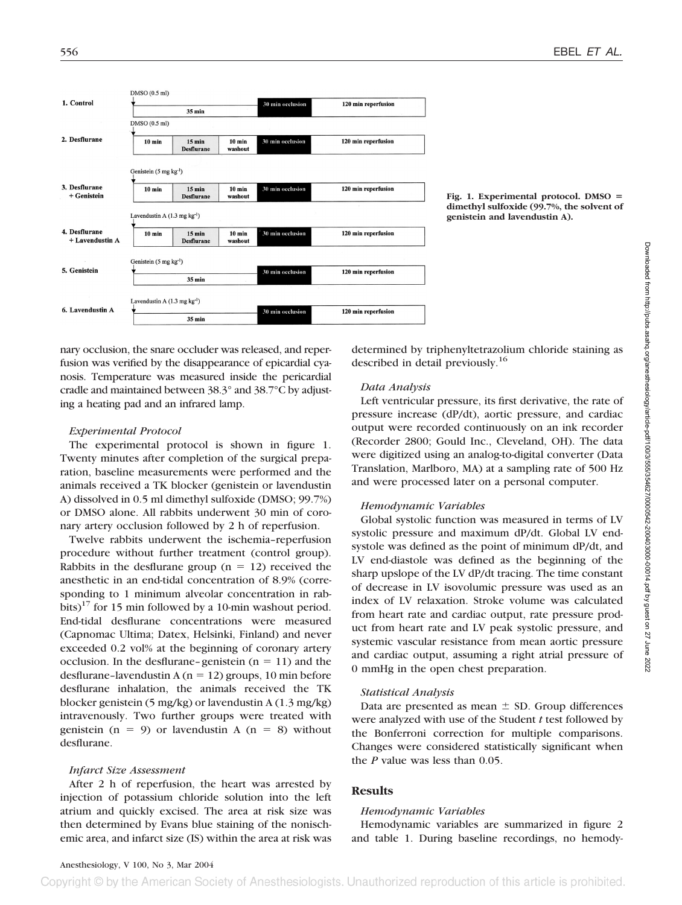

**Fig. 1. Experimental protocol. DMSO dimethyl sulfoxide (99.7%, the solvent of genistein and lavendustin A).**

nary occlusion, the snare occluder was released, and reperfusion was verified by the disappearance of epicardial cyanosis. Temperature was measured inside the pericardial cradle and maintained between 38.3° and 38.7°C by adjusting a heating pad and an infrared lamp.

### *Experimental Protocol*

The experimental protocol is shown in figure 1. Twenty minutes after completion of the surgical preparation, baseline measurements were performed and the animals received a TK blocker (genistein or lavendustin A) dissolved in 0.5 ml dimethyl sulfoxide (DMSO; 99.7%) or DMSO alone. All rabbits underwent 30 min of coronary artery occlusion followed by 2 h of reperfusion.

Twelve rabbits underwent the ischemia–reperfusion procedure without further treatment (control group). Rabbits in the desflurane group  $(n = 12)$  received the anesthetic in an end-tidal concentration of 8.9% (corresponding to 1 minimum alveolar concentration in rabbits)<sup>17</sup> for 15 min followed by a 10-min washout period. End-tidal desflurane concentrations were measured (Capnomac Ultima; Datex, Helsinki, Finland) and never exceeded 0.2 vol% at the beginning of coronary artery occlusion. In the desflurane-genistein  $(n = 11)$  and the desflurane-lavendustin A  $(n = 12)$  groups, 10 min before desflurane inhalation, the animals received the TK blocker genistein (5 mg/kg) or lavendustin A (1.3 mg/kg) intravenously. Two further groups were treated with genistein  $(n = 9)$  or lavendustin A  $(n = 8)$  without desflurane.

## *Infarct Size Assessment*

After 2 h of reperfusion, the heart was arrested by injection of potassium chloride solution into the left atrium and quickly excised. The area at risk size was then determined by Evans blue staining of the nonischemic area, and infarct size (IS) within the area at risk was

determined by triphenyltetrazolium chloride staining as described in detail previously.<sup>16</sup>

#### *Data Analysis*

Left ventricular pressure, its first derivative, the rate of pressure increase (dP/dt), aortic pressure, and cardiac output were recorded continuously on an ink recorder (Recorder 2800; Gould Inc., Cleveland, OH). The data were digitized using an analog-to-digital converter (Data Translation, Marlboro, MA) at a sampling rate of 500 Hz and were processed later on a personal computer.

### *Hemodynamic Variables*

Global systolic function was measured in terms of LV systolic pressure and maximum dP/dt. Global LV endsystole was defined as the point of minimum dP/dt, and LV end-diastole was defined as the beginning of the sharp upslope of the LV dP/dt tracing. The time constant of decrease in LV isovolumic pressure was used as an index of LV relaxation. Stroke volume was calculated from heart rate and cardiac output, rate pressure product from heart rate and LV peak systolic pressure, and systemic vascular resistance from mean aortic pressure and cardiac output, assuming a right atrial pressure of 0 mmHg in the open chest preparation.

## *Statistical Analysis*

Data are presented as mean  $\pm$  SD. Group differences were analyzed with use of the Student *t* test followed by the Bonferroni correction for multiple comparisons. Changes were considered statistically significant when the *P* value was less than 0.05.

## **Results**

### *Hemodynamic Variables*

Hemodynamic variables are summarized in figure 2 and table 1. During baseline recordings, no hemody-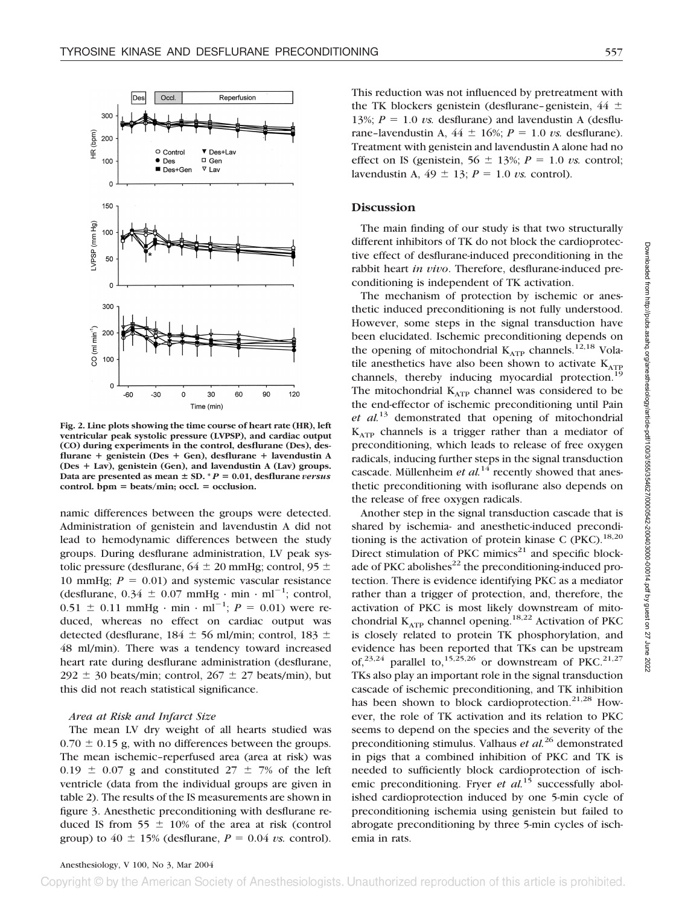





**Fig. 2. Line plots showing the time course of heart rate (HR), left ventricular peak systolic pressure (LVPSP), and cardiac output (CO) during experiments in the control, desflurane (Des), desflurane genistein (Des Gen), desflurane lavendustin A (Des Lav), genistein (Gen), and lavendustin A (Lav) groups.** Data are presented as mean  $\pm$  SD.  $^*P = 0.01$ , desflurane *versus*  $control. **bpm** = beats/min;  $occl.$  = occlusion.$ 

namic differences between the groups were detected. Administration of genistein and lavendustin A did not lead to hemodynamic differences between the study groups. During desflurane administration, LV peak systolic pressure (desflurane,  $64 \pm 20$  mmHg; control,  $95 \pm$ 10 mmHg;  $P = 0.01$ ) and systemic vascular resistance (desflurane,  $0.34 \pm 0.07$  mmHg · min · ml<sup>-1</sup>; control,  $0.51 \pm 0.11$  mmHg · min · ml<sup>-1</sup>;  $P = 0.01$ ) were reduced, whereas no effect on cardiac output was detected (desflurane,  $184 \pm 56$  ml/min; control,  $183 \pm 76$ 48 ml/min). There was a tendency toward increased heart rate during desflurane administration (desflurane,  $292 \pm 30$  beats/min; control,  $267 \pm 27$  beats/min), but this did not reach statistical significance.

#### *Area at Risk and Infarct Size*

The mean LV dry weight of all hearts studied was  $0.70 \pm 0.15$  g, with no differences between the groups. The mean ischemic–reperfused area (area at risk) was 0.19  $\pm$  0.07 g and constituted 27  $\pm$  7% of the left ventricle (data from the individual groups are given in table 2). The results of the IS measurements are shown in figure 3. Anesthetic preconditioning with desflurane reduced IS from 55  $\pm$  10% of the area at risk (control group) to  $40 \pm 15\%$  (desflurane,  $P = 0.04$  *vs.* control).

This reduction was not influenced by pretreatment with the TK blockers genistein (desflurane–genistein,  $44 \pm$ 13%;  $P = 1.0$  *vs.* desflurane) and lavendustin A (desflurane–lavendustin A,  $44 \pm 16\%$ ;  $P = 1.0$  *vs.* desflurane). Treatment with genistein and lavendustin A alone had no effect on IS (genistein,  $56 \pm 13\%$ ;  $P = 1.0$  *vs.* control; lavendustin A,  $49 \pm 13$ ;  $P = 1.0$  *vs.* control).

#### **Discussion**

The main finding of our study is that two structurally different inhibitors of TK do not block the cardioprotective effect of desflurane-induced preconditioning in the rabbit heart *in vivo*. Therefore, desflurane-induced preconditioning is independent of TK activation.

The mechanism of protection by ischemic or anesthetic induced preconditioning is not fully understood. However, some steps in the signal transduction have been elucidated. Ischemic preconditioning depends on the opening of mitochondrial  $K_{ATP}$  channels.<sup>12,18</sup> Volatile anesthetics have also been shown to activate  $K_{ATP}$ channels, thereby inducing myocardial protection.<sup>19</sup> The mitochondrial  $K_{ATP}$  channel was considered to be the end-effector of ischemic preconditioning until Pain *et al.*<sup>13</sup> demonstrated that opening of mitochondrial  $K_{ATP}$  channels is a trigger rather than a mediator of preconditioning, which leads to release of free oxygen radicals, inducing further steps in the signal transduction cascade. Müllenheim *et al.*<sup>14</sup> recently showed that anesthetic preconditioning with isoflurane also depends on the release of free oxygen radicals.

Another step in the signal transduction cascade that is shared by ischemia- and anesthetic-induced preconditioning is the activation of protein kinase C (PKC).<sup>18,20</sup> Direct stimulation of PKC mimics $21$  and specific blockade of PKC abolishes $^{22}$  the preconditioning-induced protection. There is evidence identifying PKC as a mediator rather than a trigger of protection, and, therefore, the activation of PKC is most likely downstream of mitochondrial  $K_{ATP}$  channel opening.<sup>18,22</sup> Activation of PKC is closely related to protein TK phosphorylation, and evidence has been reported that TKs can be upstream of.<sup>23,24</sup> parallel to,<sup>15,25,26</sup> or downstream of PKC.<sup>21,27</sup> TKs also play an important role in the signal transduction cascade of ischemic preconditioning, and TK inhibition has been shown to block cardioprotection.<sup>21,28</sup> However, the role of TK activation and its relation to PKC seems to depend on the species and the severity of the preconditioning stimulus. Valhaus *et al.*<sup>26</sup> demonstrated in pigs that a combined inhibition of PKC and TK is needed to sufficiently block cardioprotection of ischemic preconditioning. Fryer *et al.*<sup>15</sup> successfully abolished cardioprotection induced by one 5-min cycle of preconditioning ischemia using genistein but failed to abrogate preconditioning by three 5-min cycles of ischemia in rats.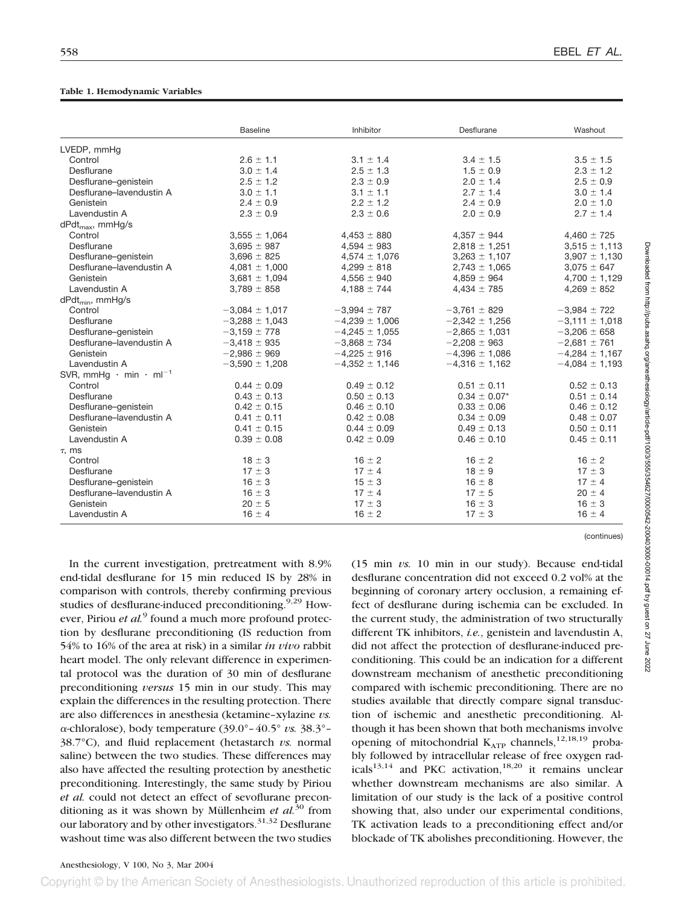#### **Table 1. Hemodynamic Variables**

|                                                | <b>Baseline</b>    | Inhibitor          | Desflurane         | Washout            |
|------------------------------------------------|--------------------|--------------------|--------------------|--------------------|
| LVEDP, mmHq                                    |                    |                    |                    |                    |
| Control                                        | $2.6 \pm 1.1$      | $3.1 \pm 1.4$      | $3.4 \pm 1.5$      | $3.5 \pm 1.5$      |
| Desflurane                                     | $3.0 \pm 1.4$      | $2.5 \pm 1.3$      | $1.5 \pm 0.9$      | $2.3 \pm 1.2$      |
| Desflurane-genistein                           | $2.5 \pm 1.2$      | $2.3 \pm 0.9$      | $2.0 \pm 1.4$      | $2.5 \pm 0.9$      |
| Desflurane-lavendustin A                       | $3.0 \pm 1.1$      | $3.1 \pm 1.1$      | $2.7 \pm 1.4$      | $3.0 \pm 1.4$      |
| Genistein                                      | $2.4 \pm 0.9$      | $2.2 \pm 1.2$      | $2.4 \pm 0.9$      | $2.0 \pm 1.0$      |
| Lavendustin A                                  | $2.3 \pm 0.9$      | $2.3 \pm 0.6$      | $2.0 \pm 0.9$      | $2.7 \pm 1.4$      |
| $dPdt_{max}$ , mmHg/s                          |                    |                    |                    |                    |
| Control                                        | $3,555 \pm 1,064$  | $4,453 \pm 880$    | $4,357 \pm 944$    | $4,460 \pm 725$    |
| Desflurane                                     | $3,695 \pm 987$    | $4,594 \pm 983$    | $2,818 \pm 1,251$  | $3,515 \pm 1,113$  |
| Desflurane-genistein                           | $3,696 \pm 825$    | $4,574 \pm 1,076$  | $3,263 \pm 1,107$  | $3,907 \pm 1,130$  |
| Desflurane-lavendustin A                       | $4,081 \pm 1,000$  | $4.299 \pm 818$    | $2.743 \pm 1.065$  | $3.075 \pm 647$    |
| Genistein                                      | $3,681 \pm 1,094$  | $4,556 \pm 940$    | $4,859 \pm 964$    | $4,700 \pm 1,129$  |
| Lavendustin A                                  | $3.789 \pm 858$    | 4,188 $\pm$ 744    | $4,434 \pm 785$    | $4.269 \pm 852$    |
| dPdt <sub>min</sub> , mmHg/s                   |                    |                    |                    |                    |
| Control                                        | $-3,084 \pm 1,017$ | $-3,994 \pm 787$   | $-3,761 \pm 829$   | $-3,984 \pm 722$   |
| Desflurane                                     | $-3,288 \pm 1,043$ | $-4,239 \pm 1,006$ | $-2,342 \pm 1,256$ | $-3,111 \pm 1,018$ |
| Desflurane-genistein                           | $-3,159 \pm 778$   | $-4,245 \pm 1,055$ | $-2,865 \pm 1,031$ | $-3,206 \pm 658$   |
| Desflurane-lavendustin A                       | $-3,418 \pm 935$   | $-3,868 \pm 734$   | $-2,208 \pm 963$   | $-2,681 \pm 761$   |
| Genistein                                      | $-2,986 \pm 969$   | $-4,225 \pm 916$   | $-4,396 \pm 1,086$ | $-4,284 \pm 1,167$ |
| Lavendustin A                                  | $-3,590 \pm 1,208$ | $-4,352 \pm 1,146$ | $-4,316 \pm 1,162$ | $-4,084 \pm 1,193$ |
| SVR, mmHg $\cdot$ min $\cdot$ ml <sup>-1</sup> |                    |                    |                    |                    |
| Control                                        | $0.44 \pm 0.09$    | $0.49 \pm 0.12$    | $0.51 \pm 0.11$    | $0.52 \pm 0.13$    |
| Desflurane                                     | $0.43 \pm 0.13$    | $0.50 \pm 0.13$    | $0.34 \pm 0.07*$   | $0.51 \pm 0.14$    |
| Desflurane-genistein                           | $0.42 \pm 0.15$    | $0.46 \pm 0.10$    | $0.33 \pm 0.06$    | $0.46 \pm 0.12$    |
| Desflurane-lavendustin A                       | $0.41 \pm 0.11$    | $0.42 \pm 0.08$    | $0.34 \pm 0.09$    | $0.48 \pm 0.07$    |
| Genistein                                      | $0.41 \pm 0.15$    | $0.44 \pm 0.09$    | $0.49 \pm 0.13$    | $0.50 \pm 0.11$    |
| Lavendustin A                                  | $0.39 \pm 0.08$    | $0.42 \pm 0.09$    | $0.46 \pm 0.10$    | $0.45 \pm 0.11$    |
| $\tau$ , ms                                    |                    |                    |                    |                    |
| Control                                        | $18 \pm 3$         | $16 \pm 2$         | $16 \pm 2$         | $16 \pm 2$         |
| Desflurane                                     | $17 \pm 3$         | $17 \pm 4$         | $18 \pm 9$         | $17 \pm 3$         |
| Desflurane-genistein                           | $16 \pm 3$         | $15 \pm 3$         | $16 \pm 8$         | $17 \pm 4$         |
| Desflurane-lavendustin A                       | $16 \pm 3$         | $17 \pm 4$         | $17 \pm 5$         | $20 \pm 4$         |
| Genistein                                      | $20 \pm 5$         | $17 \pm 3$         | $16 \pm 3$         | $16 \pm 3$         |
| Lavendustin A                                  | $16 \pm 4$         | $16 \pm 2$         | $17 \pm 3$         | $16 \pm 4$         |

In the current investigation, pretreatment with 8.9% end-tidal desflurane for 15 min reduced IS by 28% in comparison with controls, thereby confirming previous studies of desflurane-induced preconditioning.<sup>9,29</sup> However, Piriou *et al.*<sup>9</sup> found a much more profound protection by desflurane preconditioning (IS reduction from 54% to 16% of the area at risk) in a similar *in vivo* rabbit heart model. The only relevant difference in experimental protocol was the duration of 30 min of desflurane preconditioning *versus* 15 min in our study. This may explain the differences in the resulting protection. There are also differences in anesthesia (ketamine–xylazine *vs.*  $\alpha$ -chloralose), body temperature (39.0°–40.5° *vs.* 38.3°– 38.7°C), and fluid replacement (hetastarch *vs.* normal saline) between the two studies. These differences may also have affected the resulting protection by anesthetic preconditioning. Interestingly, the same study by Piriou *et al.* could not detect an effect of sevoflurane preconditioning as it was shown by Müllenheim *et al.*<sup>30</sup> from our laboratory and by other investigators.<sup>31,32</sup> Desflurane washout time was also different between the two studies (15 min *vs.* 10 min in our study). Because end-tidal desflurane concentration did not exceed 0.2 vol% at the beginning of coronary artery occlusion, a remaining effect of desflurane during ischemia can be excluded. In the current study, the administration of two structurally different TK inhibitors, *i.e.*, genistein and lavendustin A, did not affect the protection of desflurane-induced preconditioning. This could be an indication for a different downstream mechanism of anesthetic preconditioning compared with ischemic preconditioning. There are no studies available that directly compare signal transduction of ischemic and anesthetic preconditioning. Although it has been shown that both mechanisms involve opening of mitochondrial  $K_{ATP}$  channels,<sup>12,18,19</sup> probably followed by intracellular release of free oxygen radicals<sup>13,14</sup> and PKC activation,<sup>18,20</sup> it remains unclear whether downstream mechanisms are also similar. A limitation of our study is the lack of a positive control showing that, also under our experimental conditions, TK activation leads to a preconditioning effect and/or blockade of TK abolishes preconditioning. However, the

(continues)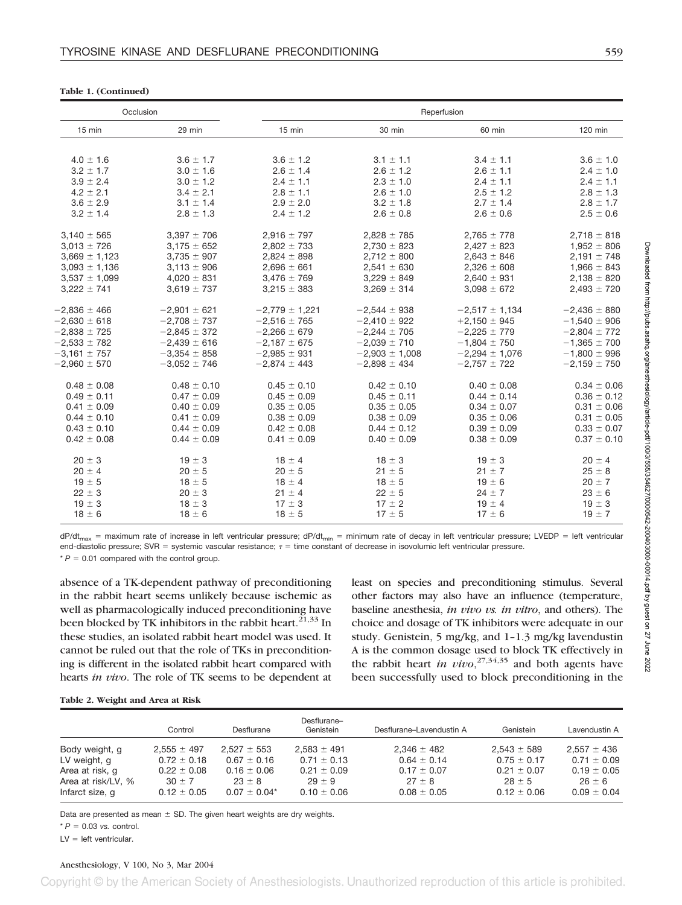|  |  | Table 1. (Continued) |
|--|--|----------------------|
|--|--|----------------------|

| Occlusion<br>Reperfusion |                  |                    |                    |                    |                  |
|--------------------------|------------------|--------------------|--------------------|--------------------|------------------|
| $15$ min                 | 29 min           | 15 min             | 30 min             | 60 min             | 120 min          |
|                          |                  |                    |                    |                    |                  |
| $4.0 \pm 1.6$            | $3.6 \pm 1.7$    | $3.6 \pm 1.2$      | $3.1 \pm 1.1$      | $3.4 \pm 1.1$      | $3.6 \pm 1.0$    |
| $3.2 \pm 1.7$            | $3.0 \pm 1.6$    | $2.6 \pm 1.4$      | $2.6 \pm 1.2$      | $2.6 \pm 1.1$      | $2.4 \pm 1.0$    |
| $3.9 \pm 2.4$            | $3.0 \pm 1.2$    | $2.4 \pm 1.1$      | $2.3 \pm 1.0$      | $2.4 \pm 1.1$      | $2.4 \pm 1.1$    |
| $4.2 \pm 2.1$            | $3.4 \pm 2.1$    | $2.8 \pm 1.1$      | $2.6 \pm 1.0$      | $2.5 \pm 1.2$      | $2.8 \pm 1.3$    |
| $3.6 \pm 2.9$            | $3.1 \pm 1.4$    | $2.9 \pm 2.0$      | $3.2 \pm 1.8$      | $2.7 \pm 1.4$      | $2.8 \pm 1.7$    |
| $3.2 \pm 1.4$            | $2.8 \pm 1.3$    | $2.4 \pm 1.2$      | $2.6 \pm 0.8$      | $2.6 \pm 0.6$      | $2.5 \pm 0.6$    |
| $3,140 \pm 565$          | $3,397 \pm 706$  | $2,916 \pm 797$    | $2,828 \pm 785$    | $2,765 \pm 778$    | $2,718 \pm 818$  |
| $3,013 \pm 726$          | $3,175 \pm 652$  | $2,802 \pm 733$    | $2,730 \pm 823$    | $2,427 \pm 823$    | $1,952 \pm 806$  |
| $3,669 \pm 1,123$        | $3,735 \pm 907$  | $2,824 \pm 898$    | $2,712 \pm 800$    | $2,643 \pm 846$    | $2,191 \pm 748$  |
| $3,093 \pm 1,136$        | $3,113 \pm 906$  | $2,696 \pm 661$    | $2,541 \pm 630$    | $2,326 \pm 608$    | $1,966 \pm 843$  |
| $3,537 \pm 1,099$        | $4,020 \pm 831$  | $3,476 \pm 769$    | $3,229 \pm 849$    | $2,640 \pm 931$    | $2,138 \pm 820$  |
| $3,222 \pm 741$          | $3,619 \pm 737$  | $3,215 \pm 383$    | $3,269 \pm 314$    | $3,098 \pm 672$    | $2,493 \pm 720$  |
| $-2,836 \pm 466$         | $-2,901 \pm 621$ | $-2,779 \pm 1,221$ | $-2,544 \pm 938$   | $-2,517 \pm 1,134$ | $-2,436 \pm 880$ |
| $-2,630 \pm 618$         | $-2,708 \pm 737$ | $-2,516 \pm 765$   | $-2,410 \pm 922$   | $+2,150 \pm 945$   | $-1,540 \pm 906$ |
| $-2,838 \pm 725$         | $-2,845 \pm 372$ | $-2,266 \pm 679$   | $-2,244 \pm 705$   | $-2,225 \pm 779$   | $-2,804 \pm 772$ |
| $-2,533 \pm 782$         | $-2,439 \pm 616$ | $-2,187 \pm 675$   | $-2,039 \pm 710$   | $-1,804 \pm 750$   | $-1,365 \pm 700$ |
| $-3,161 \pm 757$         | $-3,354 \pm 858$ | $-2,985 \pm 931$   | $-2,903 \pm 1,008$ | $-2,294 \pm 1,076$ | $-1,800 \pm 996$ |
| $-2,960 \pm 570$         | $-3,052 \pm 746$ | $-2,874 \pm 443$   | $-2,898 \pm 434$   | $-2,757 \pm 722$   | $-2,159 \pm 750$ |
| $0.48 \pm 0.08$          | $0.48 \pm 0.10$  | $0.45 \pm 0.10$    | $0.42 \pm 0.10$    | $0.40 \pm 0.08$    | $0.34 \pm 0.06$  |
| $0.49 \pm 0.11$          | $0.47 \pm 0.09$  | $0.45 \pm 0.09$    | $0.45 \pm 0.11$    | $0.44 \pm 0.14$    | $0.36 \pm 0.12$  |
| $0.41 \pm 0.09$          | $0.40 \pm 0.09$  | $0.35 \pm 0.05$    | $0.35 \pm 0.05$    | $0.34 \pm 0.07$    | $0.31 \pm 0.06$  |
| $0.44 \pm 0.10$          | $0.41 \pm 0.09$  | $0.38 \pm 0.09$    | $0.38 \pm 0.09$    | $0.35 \pm 0.06$    | $0.31 \pm 0.05$  |
| $0.43 \pm 0.10$          | $0.44 \pm 0.09$  | $0.42 \pm 0.08$    | $0.44 \pm 0.12$    | $0.39 \pm 0.09$    | $0.33 \pm 0.07$  |
| $0.42 \pm 0.08$          | $0.44 \pm 0.09$  | $0.41 \pm 0.09$    | $0.40 \pm 0.09$    | $0.38 \pm 0.09$    | $0.37 \pm 0.10$  |
| $20 \pm 3$               | $19 \pm 3$       | $18 \pm 4$         | $18 \pm 3$         | $19 \pm 3$         | $20 \pm 4$       |
| $20 \pm 4$               | $20 \pm 5$       | $20 \pm 5$         | $21 \pm 5$         | $21 \pm 7$         | $25 \pm 8$       |
| $19 \pm 5$               | $18 \pm 5$       | $18 \pm 4$         | $18 \pm 5$         | $19 \pm 6$         | $20 \pm 7$       |
| $22 \pm 3$               | $20 \pm 3$       | $21 \pm 4$         | $22 \pm 5$         | $24 \pm 7$         | $23 \pm 6$       |
| $19 \pm 3$               | $18 \pm 3$       | $17 \pm 3$         | $17 \pm 2$         | $19 \pm 4$         | $19 \pm 3$       |
| $18 \pm 6$               | $18 \pm 6$       | $18 \pm 5$         | $17 \pm 5$         | $17 \pm 6$         | $19 \pm 7$       |

Downloaded from http://pubs.asahq.org/areneiology/article-pdf/100/3/556/354627/0000542-2004030001014.pdf by guest on 27 June 2022 Downloaded from http://pubs.asahq.org/anesthesiology/article-pdf/100/3/555/354627/0000542-200403000-00014.pdf by guest on 27 June 2022

dP/dt<sub>max</sub> = maximum rate of increase in left ventricular pressure; dP/dt<sub>min</sub> = minimum rate of decay in left ventricular pressure; LVEDP = left ventricular end-diastolic pressure; SVR = systemic vascular resistance;  $\tau$  = time constant of decrease in isovolumic left ventricular pressure.

 $* P = 0.01$  compared with the control group.

absence of a TK-dependent pathway of preconditioning in the rabbit heart seems unlikely because ischemic as well as pharmacologically induced preconditioning have been blocked by TK inhibitors in the rabbit heart.<sup>21,33</sup> In these studies, an isolated rabbit heart model was used. It cannot be ruled out that the role of TKs in preconditioning is different in the isolated rabbit heart compared with hearts *in vivo*. The role of TK seems to be dependent at least on species and preconditioning stimulus. Several other factors may also have an influence (temperature, baseline anesthesia, *in vivo vs. in vitro*, and others). The choice and dosage of TK inhibitors were adequate in our study. Genistein, 5 mg/kg, and 1–1.3 mg/kg lavendustin A is the common dosage used to block TK effectively in the rabbit heart *in vivo*,<sup>27,34,35</sup> and both agents have been successfully used to block preconditioning in the

| Table 2. Weight and Area at Risk |  |  |  |  |  |  |
|----------------------------------|--|--|--|--|--|--|
|----------------------------------|--|--|--|--|--|--|

|                                       | Control                       | Desflurane                   | Desflurane-<br>Genistein      | Desflurane-Lavendustin A      | Genistein                   | Lavendustin A                 |
|---------------------------------------|-------------------------------|------------------------------|-------------------------------|-------------------------------|-----------------------------|-------------------------------|
| Body weight, g                        | $2.555 \pm 497$               | $2.527 \pm 553$              | $2.583 \pm 491$               | $2.346 \pm 482$               | $2.543 \pm 589$             | $2.557 \pm 436$               |
| LV weight, g                          | $0.72 \pm 0.18$               | $0.67 \pm 0.16$              | $0.71 \pm 0.13$               | $0.64 \pm 0.14$               | $0.75 \pm 0.17$             | $0.71 \pm 0.09$               |
| Area at risk, q                       | $0.22 \pm 0.08$               | $0.16 \pm 0.06$              | $0.21 \pm 0.09$               | $0.17 \pm 0.07$               | $0.21 \pm 0.07$             | $0.19 \pm 0.05$               |
| Area at risk/LV, %<br>Infarct size, q | $30 \pm 7$<br>$0.12 \pm 0.05$ | $23 + 8$<br>$0.07 \pm 0.04*$ | $29 \pm 9$<br>$0.10 \pm 0.06$ | $27 \pm 8$<br>$0.08 \pm 0.05$ | $28 + 5$<br>$0.12 \pm 0.06$ | $26 \pm 6$<br>$0.09 \pm 0.04$ |

Data are presented as mean  $\pm$  SD. The given heart weights are dry weights.

 $* P = 0.03$  *vs.* control.

 $LV =$  left ventricular.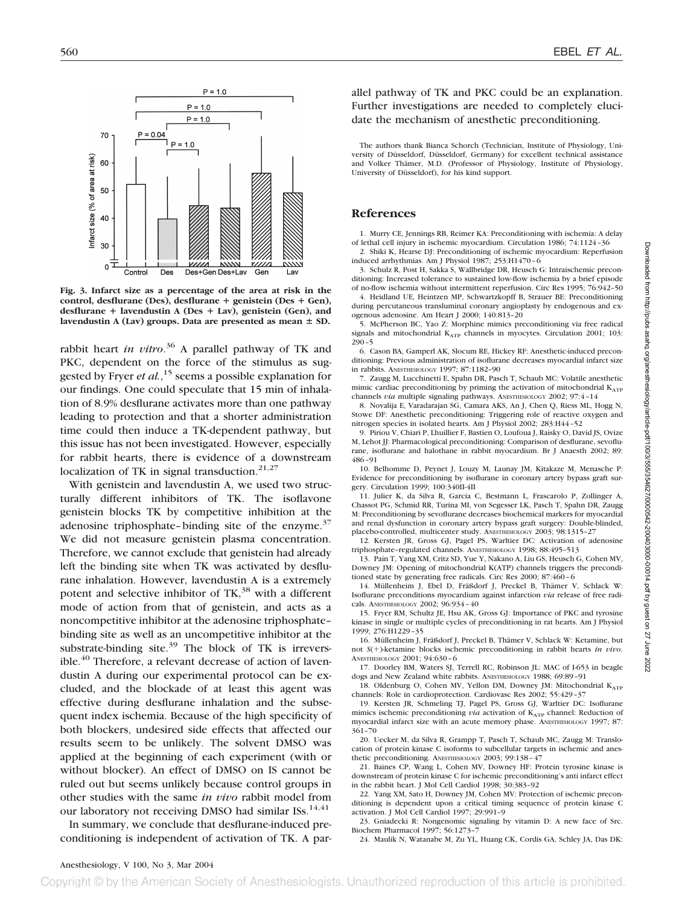

**Fig. 3. Infarct size as a percentage of the area at risk in the control, desflurane (Des), desflurane genistein (Des Gen), desflurane lavendustin A (Des Lav), genistein (Gen), and** lavendustin A (Lav) groups. Data are presented as mean  $\pm$  SD.

rabbit heart *in vitro*. <sup>36</sup> A parallel pathway of TK and PKC, dependent on the force of the stimulus as suggested by Fryer *et al.*, <sup>15</sup> seems a possible explanation for our findings. One could speculate that 15 min of inhalation of 8.9% desflurane activates more than one pathway leading to protection and that a shorter administration time could then induce a TK-dependent pathway, but this issue has not been investigated. However, especially for rabbit hearts, there is evidence of a downstream localization of TK in signal transduction. $21,27$ 

With genistein and lavendustin A, we used two structurally different inhibitors of TK. The isoflavone genistein blocks TK by competitive inhibition at the adenosine triphosphate–binding site of the enzyme. $37$ We did not measure genistein plasma concentration. Therefore, we cannot exclude that genistein had already left the binding site when TK was activated by desflurane inhalation. However, lavendustin A is a extremely potent and selective inhibitor of TK,<sup>38</sup> with a different mode of action from that of genistein, and acts as a noncompetitive inhibitor at the adenosine triphosphate– binding site as well as an uncompetitive inhibitor at the substrate-binding site. $39$  The block of TK is irreversible.<sup>40</sup> Therefore, a relevant decrease of action of lavendustin A during our experimental protocol can be excluded, and the blockade of at least this agent was effective during desflurane inhalation and the subsequent index ischemia. Because of the high specificity of both blockers, undesired side effects that affected our results seem to be unlikely. The solvent DMSO was applied at the beginning of each experiment (with or without blocker). An effect of DMSO on IS cannot be ruled out but seems unlikely because control groups in other studies with the same *in vivo* rabbit model from our laboratory not receiving DMSO had similar ISs.<sup>14,41</sup>

In summary, we conclude that desflurane-induced preconditioning is independent of activation of TK. A parallel pathway of TK and PKC could be an explanation. Further investigations are needed to completely elucidate the mechanism of anesthetic preconditioning.

The authors thank Bianca Schorch (Technician, Institute of Physiology, University of Düsseldorf, Düsseldorf, Germany) for excellent technical assistance and Volker Thämer, M.D. (Professor of Physiology, Institute of Physiology, University of Düsseldorf), for his kind support.

## **References**

1. Murry CE, Jennings RB, Reimer KA: Preconditioning with ischemia: A delay of lethal cell injury in ischemic myocardium. Circulation 1986; 74:1124–36

2. Shiki K, Hearse DJ: Preconditioning of ischemic myocardium: Reperfusion induced arrhythmias. Am J Physiol 1987; 253:H1470–6

3. Schulz R, Post H, Sakka S, Wallbridge DR, Heusch G: Intraischemic preconditioning: Increased tolerance to sustained low-flow ischemia by a brief episode of no-flow ischemia without intermittent reperfusion. Circ Res 1995; 76:942–50

4. Heidland UE, Heintzen MP, Schwartzkopff B, Strauer BE: Preconditioning during percutaneous transluminal coronary angioplasty by endogenous and exogenous adenosine. Am Heart J 2000; 140:813–20

5. McPherson BC, Yao Z: Morphine mimics preconditioning via free radical signals and mitochondrial KATP channels in myocytes. Circulation 2001; 103: 290–5

6. Cason BA, Gamperl AK, Slocum RE, Hickey RF: Anesthetic-induced preconditioning: Previous administration of isoflurane decreases myocardial infarct size in rabbits. ANESTHESIOLOGY 1997; 87:1182–90

7. Zaugg M, Lucchinetti E, Spahn DR, Pasch T, Schaub MC: Volatile anesthetic mimic cardiac preconditioning by priming the activation of mitochondrial  $K_{ATP}$ channels *via* multiple signaling pathways. ANESTHESIOLOGY 2002; 97:4-14

8. Novalija E, Varadarajan SG, Camara AKS, An J, Chen Q, Riess ML, Hogg N, Stowe DF: Anesthetic preconditioning: Triggering role of reactive oxygen and nitrogen species in isolated hearts. Am J Physiol 2002; 283:H44–52

9. Piriou V, Chiari P, Lhuillier F, Bastien O, Loufoua J, Raisky O, David JS, Ovize M, Lehot JJ: Pharmacological preconditioning: Comparison of desflurane, sevoflurane, isoflurane and halothane in rabbit myocardium. Br J Anaesth 2002; 89: 486–91

10. Belhomme D, Peynet J, Louzy M, Launay JM, Kitakaze M, Menasche P: Evidence for preconditioning by isoflurane in coronary artery bypass graft surgery. Circulation 1999; 100:340II-4II

11. Julier K, da Silva R, Garcia C, Bestmann L, Frascarolo P, Zollinger A, Chassot PG, Schmid RR, Turina MI, von Segesser LK, Pasch T, Spahn DR, Zaugg M: Preconditioning by sevoflurane decreases biochemical markers for myocardial and renal dysfunction in coronary artery bypass graft surgery: Double-blinded, placebo-controlled, multicenter study. ANESTHESIOLOGY 2003; 98:1315–27

12. Kersten JR, Gross GJ, Pagel PS, Warltier DC: Activation of adenosine triphosphate–regulated channels. ANESTHESIOLOGY 1998; 88:495–513

13. Pain T, Yang XM, Critz SD, Yue Y, Nakano A, Liu GS, Heusch G, Cohen MV, Downey JM: Opening of mitochondrial K(ATP) channels triggers the preconditioned state by generating free radicals. Circ Res 2000; 87:460–6

14. Müllenheim J, Ebel D, Fräßdorf J, Preckel B, Thämer V, Schlack W: Isoflurane preconditions myocardium against infarction *via* release of free radicals. ANESTHESIOLOGY 2002; 96:934–40

15. Fryer RM, Schultz JE, Hsu AK, Gross GJ: Importance of PKC and tyrosine kinase in single or multiple cycles of preconditioning in rat hearts. Am J Physiol 1999; 276:H1229–35

16. Müllenheim J, Fräßdorf J, Preckel B, Thämer V, Schlack W: Ketamine, but not *S*()-ketamine blocks ischemic preconditioning in rabbit hearts *in vivo*. ANESTHESIOLOGY 2001; 94:630–6

17. Doorley BM, Waters SJ, Terrell RC, Robinson JL: MAC of I-653 in beagle dogs and New Zealand white rabbits. ANESTHESIOLOGY 1988; 69:89–91

18. Oldenburg O, Cohen MV, Yellon DM, Downey JM: Mitochondrial KATP channels: Role in cardioprotection. Cardiovasc Res 2002; 55:429–37

19. Kersten JR, Schmeling TJ, Pagel PS, Gross GJ, Warltier DC: Isoflurane mimics ischemic preconditioning *via* activation of K<sub>ATP</sub> channel: Reduction of myocardial infarct size with an acute memory phase. ANESTHESIOLOGY 1997; 87: 361–70

20. Uecker M, da Silva R, Grampp T, Pasch T, Schaub MC, Zaugg M: Translocation of protein kinase C isoforms to subcellular targets in ischemic and anesthetic preconditioning. ANESTHESIOLOGY 2003; 99:138-47

21. Baines CP, Wang L, Cohen MV, Downey HF: Protein tyrosine kinase is downstream of protein kinase C for ischemic preconditioning's anti infarct effect in the rabbit heart. J Mol Cell Cardiol 1998; 30:383–92

22. Yang XM, Sato H, Downey JM, Cohen MV: Protection of ischemic preconditioning is dependent upon a critical timing sequence of protein kinase C activation. J Mol Cell Cardiol 1997; 29:991–9

23. Gniadecki R: Nongenomic signaling by vitamin D: A new face of Src. Biochem Pharmacol 1997; 56:1273-

24. Maulik N, Watanabe M, Zu YL, Huang CK, Cordis GA, Schley JA, Das DK:

Downloaded from http://pubs.asahq.org/anesthesiology/article-pdf/100/3/555/354627/0000542-200403000-00014.pdf by guest on 27 June 2022

Downloaded from http://pubs.asahq.org/anesthesiology/article-pdf/100/3/555/354627/0000442-200403000-00014.pdf by guest on 27 June 2022